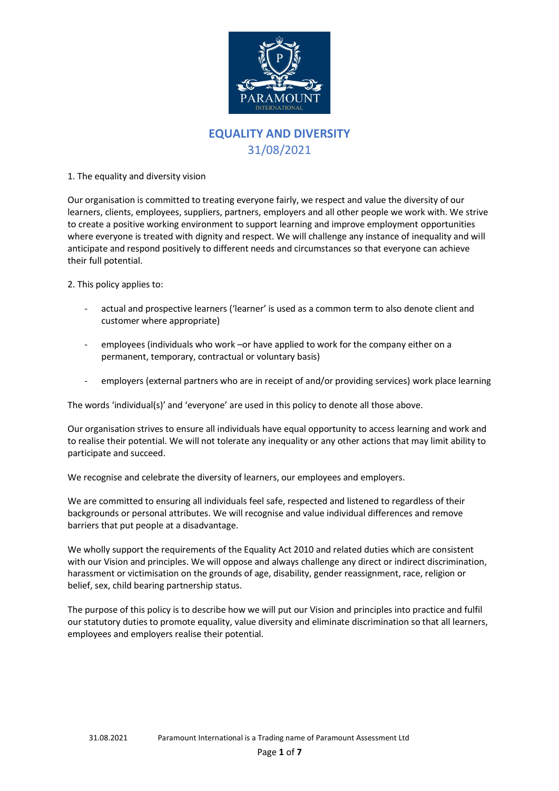

# **EQUALITY AND DIVERSITY** 31/08/2021

1. The equality and diversity vision

Our organisation is committed to treating everyone fairly, we respect and value the diversity of our learners, clients, employees, suppliers, partners, employers and all other people we work with. We strive to create a positive working environment to support learning and improve employment opportunities where everyone is treated with dignity and respect. We will challenge any instance of inequality and will anticipate and respond positively to different needs and circumstances so that everyone can achieve their full potential.

2. This policy applies to:

- actual and prospective learners ('learner' is used as a common term to also denote client and customer where appropriate)
- employees (individuals who work –or have applied to work for the company either on a permanent, temporary, contractual or voluntary basis)
- employers (external partners who are in receipt of and/or providing services) work place learning

The words 'individual(s)' and 'everyone' are used in this policy to denote all those above.

Our organisation strives to ensure all individuals have equal opportunity to access learning and work and to realise their potential. We will not tolerate any inequality or any other actions that may limit ability to participate and succeed.

We recognise and celebrate the diversity of learners, our employees and employers.

We are committed to ensuring all individuals feel safe, respected and listened to regardless of their backgrounds or personal attributes. We will recognise and value individual differences and remove barriers that put people at a disadvantage.

We wholly support the requirements of the Equality Act 2010 and related duties which are consistent with our Vision and principles. We will oppose and always challenge any direct or indirect discrimination, harassment or victimisation on the grounds of age, disability, gender reassignment, race, religion or belief, sex, child bearing partnership status.

The purpose of this policy is to describe how we will put our Vision and principles into practice and fulfil our statutory duties to promote equality, value diversity and eliminate discrimination so that all learners, employees and employers realise their potential.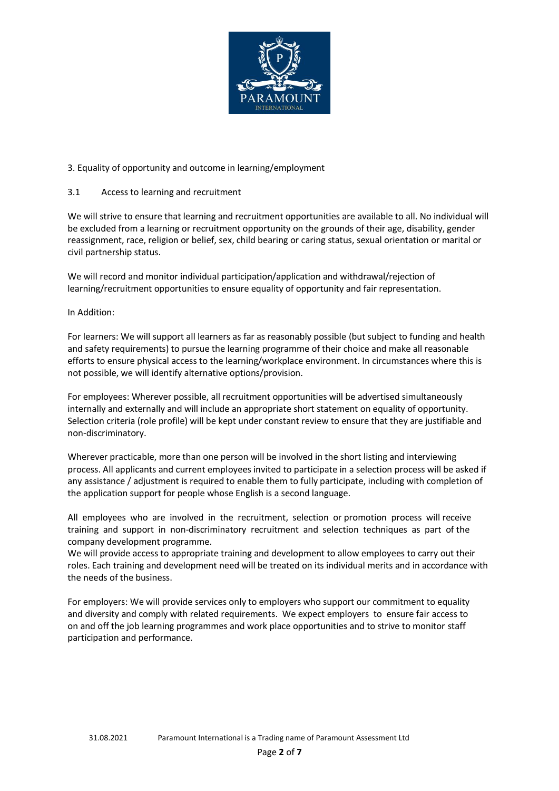

# 3. Equality of opportunity and outcome in learning/employment

# 3.1 Access to learning and recruitment

We will strive to ensure that learning and recruitment opportunities are available to all. No individual will be excluded from a learning or recruitment opportunity on the grounds of their age, disability, gender reassignment, race, religion or belief, sex, child bearing or caring status, sexual orientation or marital or civil partnership status.

We will record and monitor individual participation/application and withdrawal/rejection of learning/recruitment opportunities to ensure equality of opportunity and fair representation.

## In Addition:

For learners: We will support all learners as far as reasonably possible (but subject to funding and health and safety requirements) to pursue the learning programme of their choice and make all reasonable efforts to ensure physical access to the learning/workplace environment. In circumstances where this is not possible, we will identify alternative options/provision.

For employees: Wherever possible, all recruitment opportunities will be advertised simultaneously internally and externally and will include an appropriate short statement on equality of opportunity. Selection criteria (role profile) will be kept under constant review to ensure that they are justifiable and non‐discriminatory.

Wherever practicable, more than one person will be involved in the short listing and interviewing process. All applicants and current employees invited to participate in a selection process will be asked if any assistance / adjustment is required to enable them to fully participate, including with completion of the application support for people whose English is a second language.

All employees who are involved in the recruitment, selection or promotion process will receive training and support in non‐discriminatory recruitment and selection techniques as part of the company development programme.

We will provide access to appropriate training and development to allow employees to carry out their roles. Each training and development need will be treated on its individual merits and in accordance with the needs of the business.

For employers: We will provide services only to employers who support our commitment to equality and diversity and comply with related requirements. We expect employers to ensure fair access to on and off the job learning programmes and work place opportunities and to strive to monitor staff participation and performance.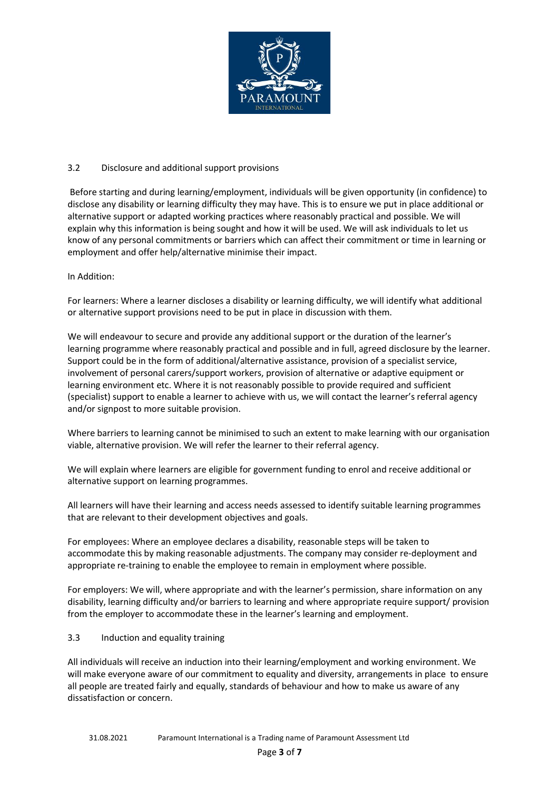

## 3.2 Disclosure and additional support provisions

Before starting and during learning/employment, individuals will be given opportunity (in confidence) to disclose any disability or learning difficulty they may have. This is to ensure we put in place additional or alternative support or adapted working practices where reasonably practical and possible. We will explain why this information is being sought and how it will be used. We will ask individuals to let us know of any personal commitments or barriers which can affect their commitment or time in learning or employment and offer help/alternative minimise their impact.

### In Addition:

For learners: Where a learner discloses a disability or learning difficulty, we will identify what additional or alternative support provisions need to be put in place in discussion with them.

We will endeavour to secure and provide any additional support or the duration of the learner's learning programme where reasonably practical and possible and in full, agreed disclosure by the learner. Support could be in the form of additional/alternative assistance, provision of a specialist service, involvement of personal carers/support workers, provision of alternative or adaptive equipment or learning environment etc. Where it is not reasonably possible to provide required and sufficient (specialist) support to enable a learner to achieve with us, we will contact the learner's referral agency and/or signpost to more suitable provision.

Where barriers to learning cannot be minimised to such an extent to make learning with our organisation viable, alternative provision. We will refer the learner to their referral agency.

We will explain where learners are eligible for government funding to enrol and receive additional or alternative support on learning programmes.

All learners will have their learning and access needs assessed to identify suitable learning programmes that are relevant to their development objectives and goals.

For employees: Where an employee declares a disability, reasonable steps will be taken to accommodate this by making reasonable adjustments. The company may consider re‐deployment and appropriate re-training to enable the employee to remain in employment where possible.

For employers: We will, where appropriate and with the learner's permission, share information on any disability, learning difficulty and/or barriers to learning and where appropriate require support/ provision from the employer to accommodate these in the learner's learning and employment.

#### 3.3 Induction and equality training

All individuals will receive an induction into their learning/employment and working environment. We will make everyone aware of our commitment to equality and diversity, arrangements in place to ensure all people are treated fairly and equally, standards of behaviour and how to make us aware of any dissatisfaction or concern.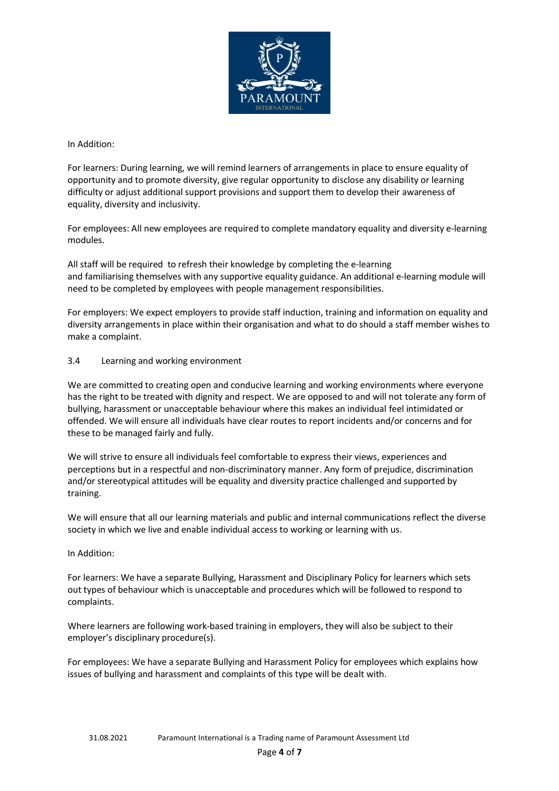

In Addition:

For learners: During learning, we will remind learners of arrangements in place to ensure equality of opportunity and to promote diversity, give regular opportunity to disclose any disability or learning difficulty or adjust additional support provisions and support them to develop their awareness of equality, diversity and inclusivity.

For employees: All new employees are required to complete mandatory equality and diversity e‐learning modules.

All staff will be required to refresh their knowledge by completing the e‐learning and familiarising themselves with any supportive equality guidance. An additional e‐learning module will need to be completed by employees with people management responsibilities.

For employers: We expect employers to provide staff induction, training and information on equality and diversity arrangements in place within their organisation and what to do should a staff member wishes to make a complaint.

## 3.4 Learning and working environment

We are committed to creating open and conducive learning and working environments where everyone has the right to be treated with dignity and respect. We are opposed to and will not tolerate any form of bullying, harassment or unacceptable behaviour where this makes an individual feel intimidated or offended. We will ensure all individuals have clear routes to report incidents and/or concerns and for these to be managed fairly and fully.

We will strive to ensure all individuals feel comfortable to express their views, experiences and perceptions but in a respectful and non‐discriminatory manner. Any form of prejudice, discrimination and/or stereotypical attitudes will be equality and diversity practice challenged and supported by training.

We will ensure that all our learning materials and public and internal communications reflect the diverse society in which we live and enable individual access to working or learning with us.

## In Addition:

For learners: We have a separate Bullying, Harassment and Disciplinary Policy for learners which sets out types of behaviour which is unacceptable and procedures which will be followed to respond to complaints.

Where learners are following work‐based training in employers, they will also be subject to their employer's disciplinary procedure(s).

For employees: We have a separate Bullying and Harassment Policy for employees which explains how issues of bullying and harassment and complaints of this type will be dealt with.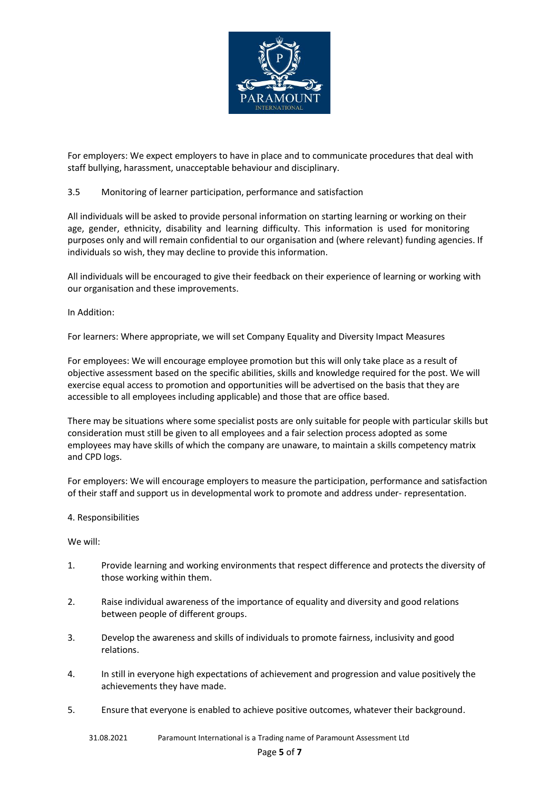

For employers: We expect employers to have in place and to communicate procedures that deal with staff bullying, harassment, unacceptable behaviour and disciplinary.

# 3.5 Monitoring of learner participation, performance and satisfaction

All individuals will be asked to provide personal information on starting learning or working on their age, gender, ethnicity, disability and learning difficulty. This information is used for monitoring purposes only and will remain confidential to our organisation and (where relevant) funding agencies. If individuals so wish, they may decline to provide this information.

All individuals will be encouraged to give their feedback on their experience of learning or working with our organisation and these improvements.

## In Addition:

For learners: Where appropriate, we will set Company Equality and Diversity Impact Measures

For employees: We will encourage employee promotion but this will only take place as a result of objective assessment based on the specific abilities, skills and knowledge required for the post. We will exercise equal access to promotion and opportunities will be advertised on the basis that they are accessible to all employees including applicable) and those that are office based.

There may be situations where some specialist posts are only suitable for people with particular skills but consideration must still be given to all employees and a fair selection process adopted as some employees may have skills of which the company are unaware, to maintain a skills competency matrix and CPD logs.

For employers: We will encourage employers to measure the participation, performance and satisfaction of their staff and support us in developmental work to promote and address under‐ representation.

#### 4. Responsibilities

We will:

- 1. Provide learning and working environments that respect difference and protects the diversity of those working within them.
- 2. Raise individual awareness of the importance of equality and diversity and good relations between people of different groups.
- 3. Develop the awareness and skills of individuals to promote fairness, inclusivity and good relations.
- 4. In still in everyone high expectations of achievement and progression and value positively the achievements they have made.
- 5. Ensure that everyone is enabled to achieve positive outcomes, whatever their background.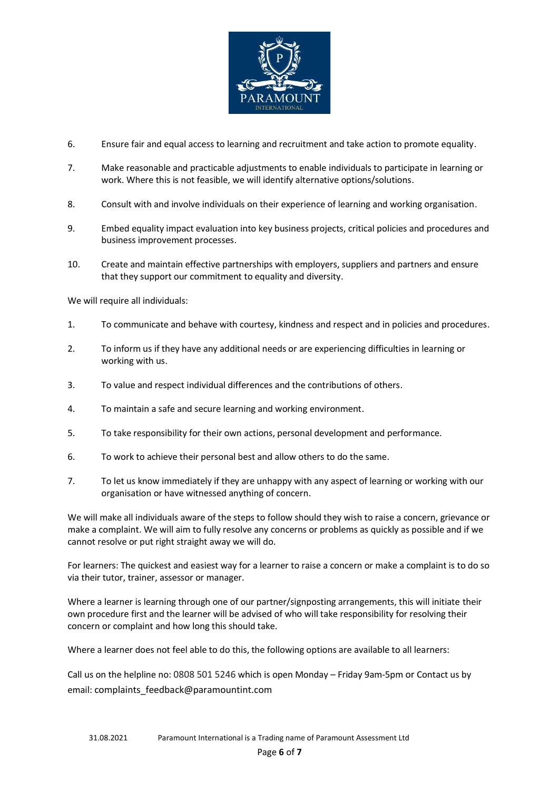

- 6. Ensure fair and equal access to learning and recruitment and take action to promote equality.
- 7. Make reasonable and practicable adjustments to enable individuals to participate in learning or work. Where this is not feasible, we will identify alternative options/solutions.
- 8. Consult with and involve individuals on their experience of learning and working organisation.
- 9. Embed equality impact evaluation into key business projects, critical policies and procedures and business improvement processes.
- 10. Create and maintain effective partnerships with employers, suppliers and partners and ensure that they support our commitment to equality and diversity.

We will require all individuals:

- 1. To communicate and behave with courtesy, kindness and respect and in policies and procedures.
- 2. To inform us if they have any additional needs or are experiencing difficulties in learning or working with us.
- 3. To value and respect individual differences and the contributions of others.
- 4. To maintain a safe and secure learning and working environment.
- 5. To take responsibility for their own actions, personal development and performance.
- 6. To work to achieve their personal best and allow others to do the same.
- 7. To let us know immediately if they are unhappy with any aspect of learning or working with our organisation or have witnessed anything of concern.

We will make all individuals aware of the steps to follow should they wish to raise a concern, grievance or make a complaint. We will aim to fully resolve any concerns or problems as quickly as possible and if we cannot resolve or put right straight away we will do.

For learners: The quickest and easiest way for a learner to raise a concern or make a complaint is to do so via their tutor, trainer, assessor or manager.

Where a learner is learning through one of our partner/signposting arrangements, this will initiate their own procedure first and the learner will be advised of who will take responsibility for resolving their concern or complaint and how long this should take.

Where a learner does not feel able to do this, the following options are available to all learners:

Call us on the helpline no: 0808 501 5246 which is open Monday – Friday 9am‐5pm or Contact us by email: complaints\_feedback@paramountint.com